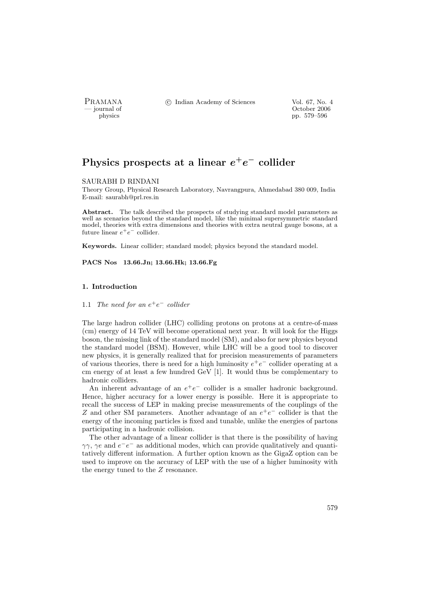PRAMANA <sup>C</sup> Indian Academy of Sciences Vol. 67, No. 4<br>
— journal of Cortober 2006

position of the contract of the contract of the contract of the contract of the contract of the contract of the contract of the contract of the contract of the contract of the contract of the contract of the contract of th physics pp. 579–596

# Physics prospects at a linear  $e^+e^-$  collider

#### SAURABH D RINDANI

Theory Group, Physical Research Laboratory, Navrangpura, Ahmedabad 380 009, India E-mail: saurabh@prl.res.in

Abstract. The talk described the prospects of studying standard model parameters as well as scenarios beyond the standard model, like the minimal supersymmetric standard model, theories with extra dimensions and theories with extra neutral gauge bosons, at a future linear  $e^+e^-$  collider.

Keywords. Linear collider; standard model; physics beyond the standard model.

PACS Nos 13.66.Jn; 13.66.Hk; 13.66.Fg

# 1. Introduction

1.1 The need for an  $e^+e^-$  collider

The large hadron collider (LHC) colliding protons on protons at a centre-of-mass (cm) energy of 14 TeV will become operational next year. It will look for the Higgs boson, the missing link of the standard model (SM), and also for new physics beyond the standard model (BSM). However, while LHC will be a good tool to discover new physics, it is generally realized that for precision measurements of parameters of various theories, there is need for a high luminosity  $e^+e^-$  collider operating at a cm energy of at least a few hundred GeV [1]. It would thus be complementary to hadronic colliders.

An inherent advantage of an  $e^+e^-$  collider is a smaller hadronic background. Hence, higher accuracy for a lower energy is possible. Here it is appropriate to recall the success of LEP in making precise measurements of the couplings of the Z and other SM parameters. Another advantage of an  $e^+e^-$  collider is that the energy of the incoming particles is fixed and tunable, unlike the energies of partons participating in a hadronic collision.

The other advantage of a linear collider is that there is the possibility of having  $\gamma\gamma$ ,  $\gamma e$  and  $e^-e^-$  as additional modes, which can provide qualitatively and quantitatively different information. A further option known as the GigaZ option can be used to improve on the accuracy of LEP with the use of a higher luminosity with the energy tuned to the Z resonance.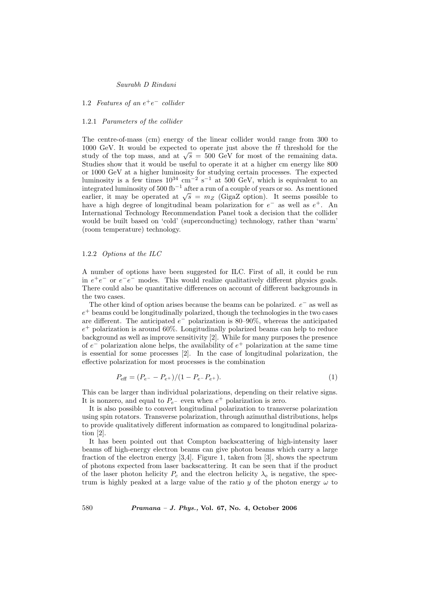1.2 Features of an  $e^+e^-$  collider

### 1.2.1 Parameters of the collider

The centre-of-mass (cm) energy of the linear collider would range from 300 to 1000 GeV. It would be expected to operate just above the  $t\bar{t}$  threshold for the 1000 GeV. It would be expected to operate just above the *tt* threshold for the study of the top mass, and at  $\sqrt{s} = 500$  GeV for most of the remaining data. Studies show that it would be useful to operate it at a higher cm energy like 800 or 1000 GeV at a higher luminosity for studying certain processes. The expected luminosity is a few times  $10^{34}$  cm<sup>-2</sup> s<sup>-1</sup> at 500 GeV, which is equivalent to an integrated luminosity of 500 fb<sup>-1</sup> after a run of a couple of years or so. As mentioned integrated iuminosity of 500 to  $\theta$  after a run of a couple of years or so. As mentioned earlier, it may be operated at  $\sqrt{s} = m_Z$  (GigaZ option). It seems possible to have a high degree of longitudinal beam polarization for  $e^-$  as well as  $e^+$ . An International Technology Recommendation Panel took a decision that the collider would be built based on 'cold' (superconducting) technology, rather than 'warm' (room temperature) technology.

# 1.2.2 Options at the ILC

A number of options have been suggested for ILC. First of all, it could be run in  $e^+e^-$  or  $e^-e^-$  modes. This would realize qualitatively different physics goals. There could also be quantitative differences on account of different backgrounds in the two cases.

The other kind of option arises because the beams can be polarized.  $e^-$  as well as  $e^+$  beams could be longitudinally polarized, though the technologies in the two cases are different. The anticipated  $e^-$  polarization is 80–90%, whereas the anticipated  $e^+$  polarization is around 60%. Longitudinally polarized beams can help to reduce background as well as improve sensitivity [2]. While for many purposes the presence of  $e^-$  polarization alone helps, the availability of  $e^+$  polarization at the same time is essential for some processes [2]. In the case of longitudinal polarization, the effective polarization for most processes is the combination

$$
P_{\text{eff}} = (P_{e^-} - P_{e^+})/(1 - P_{e^-} P_{e^+}).
$$
\n(1)

This can be larger than individual polarizations, depending on their relative signs. It is nonzero, and equal to  $P_{e}$ - even when  $e^+$  polarization is zero.

It is also possible to convert longitudinal polarization to transverse polarization using spin rotators. Transverse polarization, through azimuthal distributions, helps to provide qualitatively different information as compared to longitudinal polarization [2].

It has been pointed out that Compton backscattering of high-intensity laser beams off high-energy electron beams can give photon beams which carry a large fraction of the electron energy [3,4]. Figure 1, taken from [3], shows the spectrum of photons expected from laser backscattering. It can be seen that if the product of the laser photon helicity  $P_c$  and the electron helicity  $\lambda_e$  is negative, the spectrum is highly peaked at a large value of the ratio y of the photon energy  $\omega$  to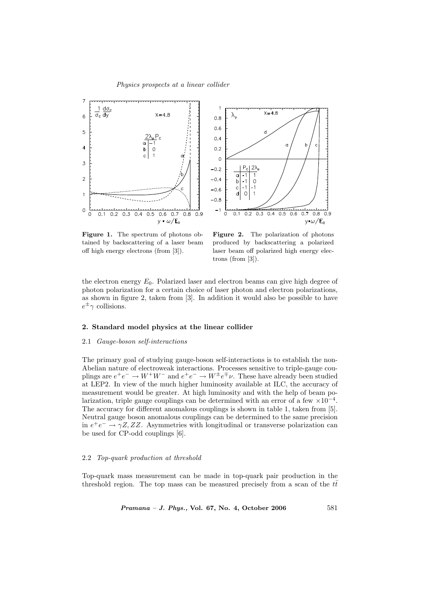

Figure 1. The spectrum of photons obtained by backscattering of a laser beam off high energy electrons (from [3]).

Figure 2. The polarization of photons produced by backscattering a polarized laser beam off polarized high energy electrons (from [3]).

the electron energy  $E_0$ . Polarized laser and electron beams can give high degree of photon polarization for a certain choice of laser photon and electron polarizations, as shown in figure 2, taken from [3]. In addition it would also be possible to have  $e^{\pm}$   $\gamma$  collisions.

### 2. Standard model physics at the linear collider

### 2.1 Gauge-boson self-interactions

The primary goal of studying gauge-boson self-interactions is to establish the non-Abelian nature of electroweak interactions. Processes sensitive to triple-gauge couplings are  $e^+e^- \to W^+W^-$  and  $e^+e^- \to W^{\pm}e^{\mp}\nu$ . These have already been studied at LEP2. In view of the much higher luminosity available at ILC, the accuracy of measurement would be greater. At high luminosity and with the help of beam polarization, triple gauge couplings can be determined with an error of a few  $\times 10^{-4}$ . The accuracy for different anomalous couplings is shown in table 1, taken from [5]. Neutral gauge boson anomalous couplings can be determined to the same precision in  $e^+e^- \rightarrow \gamma Z, ZZ$ . Asymmetries with longitudinal or transverse polarization can be used for CP-odd couplings [6].

#### 2.2 Top-quark production at threshold

Top-quark mass measurement can be made in top-quark pair production in the threshold region. The top mass can be measured precisely from a scan of the  $t\bar{t}$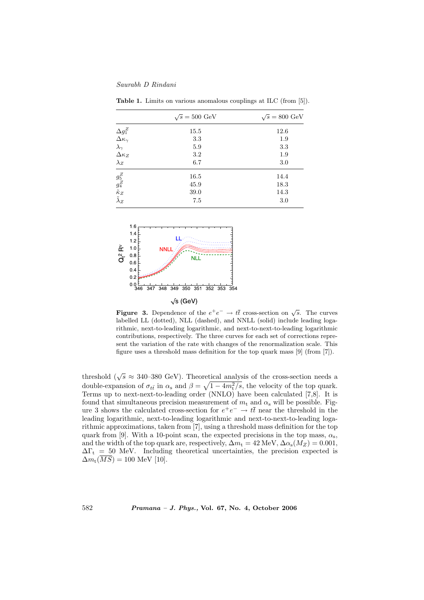Saurabh D Rindani

|                                                                                                          | $\sqrt{s} = 500 \text{ GeV}$ | $\sqrt{s} = 800 \text{ GeV}$ |  |  |
|----------------------------------------------------------------------------------------------------------|------------------------------|------------------------------|--|--|
| $\begin{array}{l} \Delta g_1^Z \\ \Delta \kappa_\gamma \\ \lambda_\gamma \\ \Delta \kappa_Z \end{array}$ | 15.5                         | 12.6                         |  |  |
|                                                                                                          | 3.3                          | 1.9                          |  |  |
|                                                                                                          | 5.9                          | 3.3                          |  |  |
|                                                                                                          | 3.2                          | 1.9                          |  |  |
| $\lambda_Z$                                                                                              | 6.7                          | 3.0                          |  |  |
| $\frac{g_5^Z}{g_4^Z} \tilde{\tilde{\kappa}}_Z \ \tilde{\tilde{\lambda}}_Z$                               | 16.5                         | 14.4                         |  |  |
|                                                                                                          | 45.9                         | 18.3                         |  |  |
|                                                                                                          | 39.0                         | 14.3                         |  |  |
|                                                                                                          | 7.5                          | 3.0                          |  |  |

Table 1. Limits on various anomalous couplings at ILC (from [5]).



**Figure 3.** Dependence of the  $e^+e^- \rightarrow t\bar{t}$  cross-section on  $\sqrt{s}$ . The curves labelled LL (dotted), NLL (dashed), and NNLL (solid) include leading logarithmic, next-to-leading logarithmic, and next-to-next-to-leading logarithmic contributions, respectively. The three curves for each set of corrections represent the variation of the rate with changes of the renormalization scale. This figure uses a threshold mass definition for the top quark mass [9] (from [7]).

threshold ( $\sqrt{s} \approx 340$ –380 GeV). Theoretical analysis of the cross-section needs a double-expansion of  $\sigma_{t\bar{t}}$  in  $\alpha_s$  and  $\beta = \sqrt{1 - 4m_t^2/s}$ , the velocity of the top quark. Terms up to next-next-to-leading order (NNLO) have been calculated [7,8]. It is found that simultaneous precision measurement of  $m_t$  and  $\alpha_s$  will be possible. Figure 3 shows the calculated cross-section for  $e^+e^- \to t\bar{t}$  near the threshold in the leading logarithmic, next-to-leading logarithmic and next-to-next-to-leading logarithmic approximations, taken from [7], using a threshold mass definition for the top quark from [9]. With a 10-point scan, the expected precisions in the top mass,  $\alpha_s$ , and the width of the top quark are, respectively,  $\Delta m_t = 42 \text{ MeV}, \Delta \alpha_s(M_Z) = 0.001$ ,  $\Delta\Gamma_t = 50$  MeV. Including theoretical uncertainties, the precision expected is  $\Delta m_t(\overline{MS}) = 100$  MeV [10].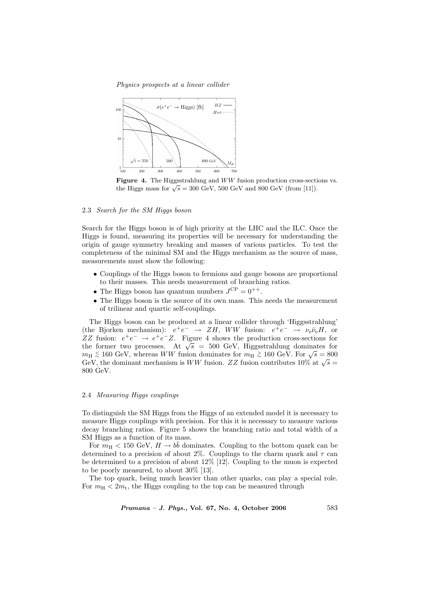Physics prospects at a linear collider



Figure 4. The Higgsstrahlung and  $WW$  fusion production cross-sections vs. **rigure 4.** The Higgsstramung and WW fusion production cross-section the Higgs mass for  $\sqrt{s} = 300 \text{ GeV}$ , 500 GeV and 800 GeV (from [11]).

# 2.3 Search for the SM Higgs boson

Search for the Higgs boson is of high priority at the LHC and the ILC. Once the Higgs is found, measuring its properties will be necessary for understanding the origin of gauge symmetry breaking and masses of various particles. To test the completeness of the minimal SM and the Higgs mechanism as the source of mass, measurements must show the following:

- Couplings of the Higgs boson to fermions and gauge bosons are proportional to their masses. This needs measurement of branching ratios.
- The Higgs boson has quantum numbers  $J^{CP} = 0^{++}$ .
- The Higgs boson is the source of its own mass. This needs the measurement of trilinear and quartic self-couplings.

The Higgs boson can be produced at a linear collider through 'Higgsstrahlung' (the Bjorken mechanism):  $e^+e^- \rightarrow ZH$ , WW fusion:  $e^+e^- \rightarrow \nu_e \bar{\nu}_e H$ , or ZZ fusion:  $e^+e^- \rightarrow e^+e^-Z$ . Figure 4 shows the production cross-sections for  $ZZ$  fusion:  $e^+e^- \rightarrow e^+e^-Z$ . Figure 4 shows the production cross-sections for the former two processes. At  $\sqrt{s} = 500$  GeV, Higgsstrahlung dominates for the former two processes. At  $\sqrt{s} = 300 \text{ GeV}$ , Higgsstranding dominates for  $m_H \lesssim 160 \text{ GeV}$ , whereas *WW* fusion dominates for  $m_H \gtrsim 160 \text{ GeV}$ . For  $\sqrt{s} = 800$  $m_H \approx 100 \text{ GeV}$ , whereas *WW* fusion dominates for  $m_H \approx 100 \text{ GeV}$ . For  $\sqrt{s} = 800 \text{ GeV}$ , the dominant mechanism is *WW* fusion. ZZ fusion contributes 10% at  $\sqrt{s} =$ 800 GeV.

## 2.4 Measuring Higgs couplings

To distinguish the SM Higgs from the Higgs of an extended model it is necessary to measure Higgs couplings with precision. For this it is necessary to measure various decay branching ratios. Figure 5 shows the branching ratio and total width of a SM Higgs as a function of its mass.

For  $m_H < 150$  GeV,  $H \rightarrow b\bar{b}$  dominates. Coupling to the bottom quark can be determined to a precision of about 2%. Couplings to the charm quark and  $\tau$  can be determined to a precision of about 12% [12]. Coupling to the muon is expected to be poorly measured, to about 30% [13].

The top quark, being much heavier than other quarks, can play a special role. For  $m_{\rm H} < 2m_{\rm t}$ , the Higgs coupling to the top can be measured through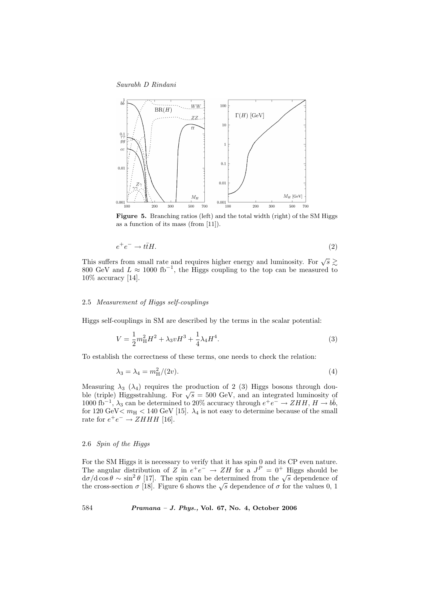Saurabh D Rindani



Figure 5. Branching ratios (left) and the total width (right) of the SM Higgs as a function of its mass (from [11]).

$$
e^+e^- \to t\bar{t}H. \tag{2}
$$

This suffers from small rate and requires higher energy and luminosity. For  $\sqrt{s} \gtrsim$ 800 GeV and  $L \approx 1000 \text{ fb}^{-1}$ , the Higgs coupling to the top can be measured to 10% accuracy [14].

# 2.5 Measurement of Higgs self-couplings

Higgs self-couplings in SM are described by the terms in the scalar potential:

$$
V = \frac{1}{2}m_H^2 H^2 + \lambda_3 v H^3 + \frac{1}{4}\lambda_4 H^4.
$$
\n(3)

To establish the correctness of these terms, one needs to check the relation:

$$
\lambda_3 = \lambda_4 = m_H^2/(2v). \tag{4}
$$

Measuring  $\lambda_3$  ( $\lambda_4$ ) requires the production of 2 (3) Higgs bosons through double (triple) Higgsstrahlung. For  $\sqrt{s} = 500$  GeV, and an integrated luminosity of 1000 fb<sup>-1</sup>,  $\lambda_3$  can be determined to 20% accuracy through  $e^+e^- \to ZHH$ ,  $H \to b\bar{b}$ , for 120 GeV  $m_{\rm H}$  < 140 GeV [15].  $\lambda_4$  is not easy to determine because of the small rate for  $e^+e^- \rightarrow ZHHH$  [16].

# 2.6 Spin of the Higgs

For the SM Higgs it is necessary to verify that it has spin 0 and its CP even nature. The angular distribution of Z in  $e^+e^- \rightarrow ZH$  for a  $J^P = 0^+$  Higgs should be The angular distribution of  $\sum$  in  $e^+e^- \rightarrow \sum H$  for a  $J^+ = 0^+$  ranges should be  $d\sigma/d\cos\theta \sim \sin^2\theta$  [17]. The spin can be determined from the  $\sqrt{s}$  dependence of  $\alpha \sigma/\alpha \cos \theta \sim \sin \theta$  [17]. The spin can be determined from the  $\sqrt{s}$  dependence of the values 0, 1 the cross-section  $\sigma$  [18]. Figure 6 shows the  $\sqrt{s}$  dependence of  $\sigma$  for the values 0, 1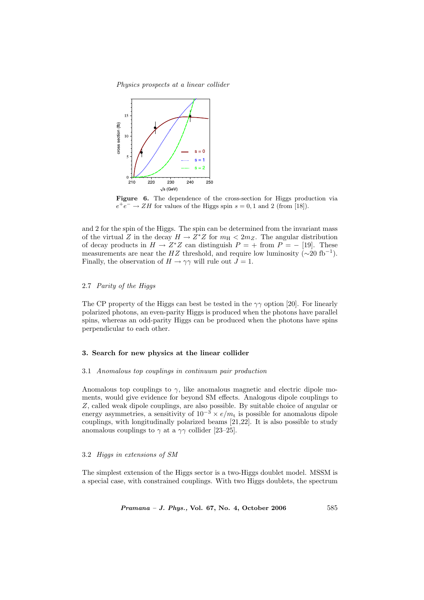Physics prospects at a linear collider



Figure 6. The dependence of the cross-section for Higgs production via  $e^+e^- \rightarrow ZH$  for values of the Higgs spin  $s = 0, 1$  and 2 (from [18]).

and 2 for the spin of the Higgs. The spin can be determined from the invariant mass of the virtual Z in the decay  $H \to Z^*Z$  for  $m_H < 2m_Z$ . The angular distribution of decay products in  $H \to Z^*Z$  can distinguish  $P = +$  from  $P = -$  [19]. These measurements are near the HZ threshold, and require low luminosity  $(\sim 20 \text{ fb}^{-1})$ . Finally, the observation of  $H \to \gamma\gamma$  will rule out  $J = 1$ .

# 2.7 Parity of the Higgs

The CP property of the Higgs can best be tested in the  $\gamma\gamma$  option [20]. For linearly polarized photons, an even-parity Higgs is produced when the photons have parallel spins, whereas an odd-parity Higgs can be produced when the photons have spins perpendicular to each other.

#### 3. Search for new physics at the linear collider

#### 3.1 Anomalous top couplings in continuum pair production

Anomalous top couplings to  $\gamma$ , like anomalous magnetic and electric dipole moments, would give evidence for beyond SM effects. Analogous dipole couplings to Z, called weak dipole couplings, are also possible. By suitable choice of angular or energy asymmetries, a sensitivity of  $10^{-3} \times e/m_t$  is possible for anomalous dipole couplings, with longitudinally polarized beams [21,22]. It is also possible to study anomalous couplings to  $\gamma$  at a  $\gamma\gamma$  collider [23–25].

# 3.2 Higgs in extensions of SM

The simplest extension of the Higgs sector is a two-Higgs doublet model. MSSM is a special case, with constrained couplings. With two Higgs doublets, the spectrum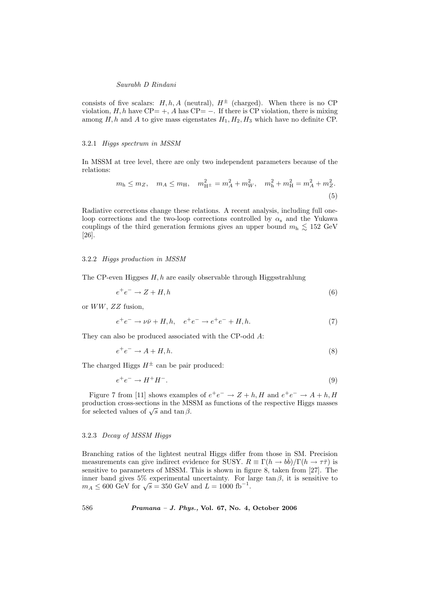consists of five scalars:  $H, h, A$  (neutral),  $H^{\pm}$  (charged). When there is no CP violation,  $H, h$  have CP= +, A has CP= −. If there is CP violation, there is mixing among  $H, h$  and  $A$  to give mass eigenstates  $H_1, H_2, H_3$  which have no definite CP.

### 3.2.1 Higgs spectrum in MSSM

In MSSM at tree level, there are only two independent parameters because of the relations:

$$
m_{\rm h} \le m_Z, \quad m_A \le m_{\rm H}, \quad m_{\rm H}^2 = m_A^2 + m_W^2, \quad m_{\rm h}^2 + m_{\rm H}^2 = m_A^2 + m_Z^2. \tag{5}
$$

Radiative corrections change these relations. A recent analysis, including full oneloop corrections and the two-loop corrections controlled by  $\alpha_s$  and the Yukawa couplings of the third generation fermions gives an upper bound  $m<sub>h</sub> \lesssim 152 \text{ GeV}$ [26].

#### 3.2.2 Higgs production in MSSM

The CP-even Higgses  $H, h$  are easily observable through Higgsstrahlung

$$
e^+e^- \to Z + H, h \tag{6}
$$

or WW, ZZ fusion,

$$
e^{+}e^{-} \to \nu\bar{\nu} + H, h, \quad e^{+}e^{-} \to e^{+}e^{-} + H, h. \tag{7}
$$

They can also be produced associated with the CP-odd A:

$$
e^+e^- \to A + H, h. \tag{8}
$$

The charged Higgs  $H^{\pm}$  can be pair produced:

$$
e^+e^- \to H^+H^-.\tag{9}
$$

Figure 7 from [11] shows examples of  $e^+e^- \rightarrow Z + h$ , H and  $e^+e^- \rightarrow A + h$ , H production cross-sections in the MSSM as functions of the respective Higgs masses production cross-sections in the MS<br>for selected values of  $\sqrt{s}$  and tan  $\beta$ .

# 3.2.3 Decay of MSSM Higgs

Branching ratios of the lightest neutral Higgs differ from those in SM. Precision measurements can give indirect evidence for SUSY.  $R \equiv \Gamma(h \to b\bar{b})/\Gamma(h \to \tau\bar{\tau})$  is sensitive to parameters of MSSM. This is shown in figure 8, taken from [27]. The inner band gives  $5\%$  experimental uncertainty. For large tan  $\beta$ , it is sensitive to mner band gives 5% experimental uncertainty. For  $\mu$ <br> $m_A \leq 600 \text{ GeV}$  for  $\sqrt{s} = 350 \text{ GeV}$  and  $L = 1000 \text{ fb}^{-1}$ .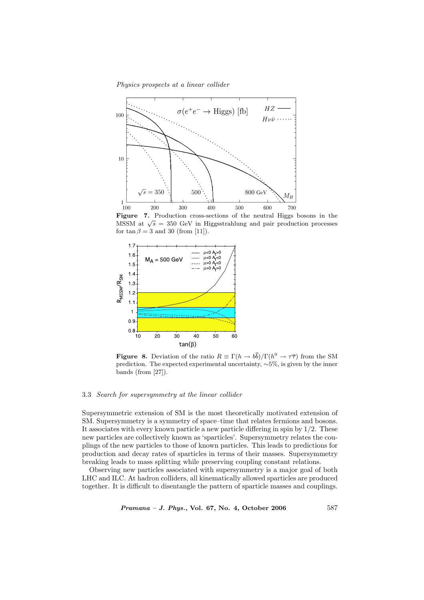Physics prospects at a linear collider



Figure 7. Production cross-sections of the neutral Higgs bosons in the **Figure 7.** Froduction cross-sections of the heutral ringes bosons in the MSSM at  $\sqrt{s}$  = 350 GeV in Higgsstrahlung and pair production processes for  $\tan \beta = 3$  and 30 (from [11]).



**Figure 8.** Deviation of the ratio  $R \equiv \Gamma(h \to b\bar{b})/\Gamma(h^0 \to \tau\bar{\tau})$  from the SM prediction. The expected experimental uncertainty, ∼5%, is given by the inner bands (from [27]).

# 3.3 Search for supersymmetry at the linear collider

Supersymmetric extension of SM is the most theoretically motivated extension of SM. Supersymmetry is a symmetry of space–time that relates fermions and bosons. It associates with every known particle a new particle differing in spin by 1/2. These new particles are collectively known as 'sparticles'. Supersymmetry relates the couplings of the new particles to those of known particles. This leads to predictions for production and decay rates of sparticles in terms of their masses. Supersymmetry breaking leads to mass splitting while preserving coupling constant relations.

Observing new particles associated with supersymmetry is a major goal of both LHC and ILC. At hadron colliders, all kinematically allowed sparticles are produced together. It is difficult to disentangle the pattern of sparticle masses and couplings.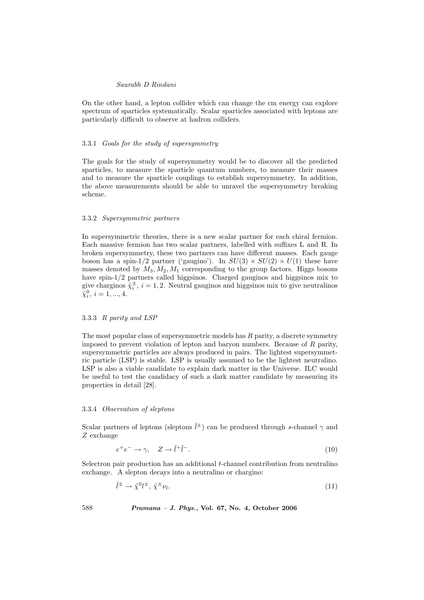On the other hand, a lepton collider which can change the cm energy can explore spectrum of sparticles systematically. Scalar sparticles associated with leptons are particularly difficult to observe at hadron colliders.

### 3.3.1 Goals for the study of supersymmetry

The goals for the study of supersymmetry would be to discover all the predicted sparticles, to measure the sparticle quantum numbers, to measure their masses and to measure the sparticle couplings to establish supersymmetry. In addition, the above measurements should be able to unravel the supersymmetry breaking scheme.

#### 3.3.2 Supersymmetric partners

In supersymmetric theories, there is a new scalar partner for each chiral fermion. Each massive fermion has two scalar partners, labelled with suffixes L and R. In broken supersymmetry, these two partners can have different masses. Each gauge boson has a spin-1/2 partner ('gaugino'). In  $SU(3) \times SU(2) \times U(1)$  these have masses denoted by  $M_3, M_2, M_1$  corresponding to the group factors. Higgs bosons have spin-1/2 partners called higgsinos. Charged gauginos and higgsinos mix to give charginos  $\tilde{\chi}_i^{\pm}$ ,  $i = 1, 2$ . Neutral gauginos and higgsinos mix to give neutralinos  $\tilde{\chi}_i^0, i = 1, ..., 4.$ 

### 3.3.3 R parity and LSP

The most popular class of supersymmetric models has  $R$  parity, a discrete symmetry imposed to prevent violation of lepton and baryon numbers. Because of  $R$  parity, supersymmetric particles are always produced in pairs. The lightest supersymmetric particle (LSP) is stable. LSP is usually assumed to be the lightest neutralino. LSP is also a viable candidate to explain dark matter in the Universe. ILC would be useful to test the candidacy of such a dark matter candidate by measuring its properties in detail [28].

### 3.3.4 Observation of sleptons

˜l

Scalar partners of leptons (sleptons  $\tilde{l}^{\pm}$ ) can be produced through s-channel  $\gamma$  and Z exchange

$$
e^{+}e^{-} \to \gamma, \quad Z \to \tilde{l}^{+}\tilde{l}^{-}.
$$
 (10)

Selectron pair production has an additional *t*-channel contribution from neutralino exchange. A slepton decays into a neutralino or chargino:

$$
\tilde{l}^{\pm} \to \tilde{\chi}^0 l^{\pm}, \tilde{\chi}^{\pm} \nu_l. \tag{11}
$$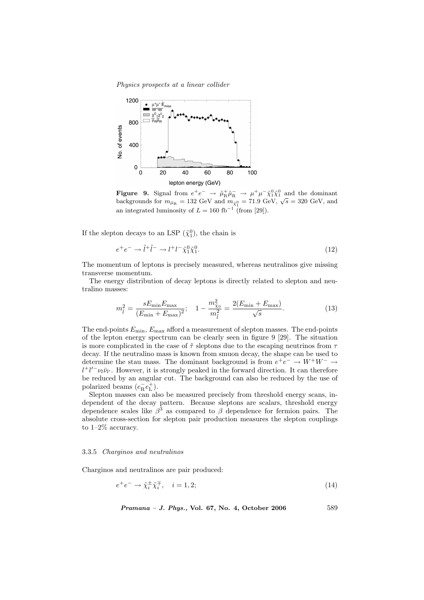Physics prospects at a linear collider



Figure 9. Signal from  $e^+e^- \to \tilde{\mu}_R^+\tilde{\mu}_R^- \to \mu^+\mu^-\tilde{\chi}_1^0\tilde{\chi}_1^0$  and the dominant **Figure 3.** Signal from  $e^+e^- \rightarrow \mu_R \mu_R \rightarrow \mu^- \mu^- \chi_1 \chi_1$  and the dominant backgrounds for  $m_{\tilde{\mu}_R} = 132$  GeV and  $m_{\tilde{\chi}_1^0} = 71.9$  GeV,  $\sqrt{s} = 320$  GeV, and an integrated luminosity of  $L = 160$  fb<sup>-1</sup> (from [29]).

If the slepton decays to an LSP  $({\tilde \chi}^0_1)$ , the chain is

$$
e^+e^- \to \tilde{l}^+\tilde{l}^- \to l^+l^-\tilde{\chi}_1^0\tilde{\chi}_1^0. \tag{12}
$$

The momentum of leptons is precisely measured, whereas neutralinos give missing transverse momentum.

The energy distribution of decay leptons is directly related to slepton and neutralino masses:

$$
m_{\tilde{l}}^2 = \frac{sE_{\min}E_{\max}}{(E_{\min} + E_{\max})^2}; \quad 1 - \frac{m_{\tilde{\chi}_0}^2}{m_{\tilde{l}}^2} = \frac{2(E_{\min} + E_{\max})}{\sqrt{s}}.
$$
 (13)

The end-points  $E_{\text{min}}$ ,  $E_{\text{max}}$  afford a measurement of slepton masses. The end-points of the lepton energy spectrum can be clearly seen in figure 9 [29]. The situation is more complicated in the case of  $\tilde{\tau}$  sleptons due to the escaping neutrinos from  $\tau$ decay. If the neutralino mass is known from smuon decay, the shape can be used to determine the stau mass. The dominant background is from  $e^+e^- \to W^+W^- \to$  $l^{+}l'^{-}\nu_{l}\bar{\nu}_{l'}$ . However, it is strongly peaked in the forward direction. It can therefore be reduced by an angular cut. The background can also be reduced by the use of polarized beams  $(e^-_Re_L^+)$ .

Slepton masses can also be measured precisely from threshold energy scans, independent of the decay pattern. Because sleptons are scalars, threshold energy dependence scales like  $\beta^3$  as compared to  $\beta$  dependence for fermion pairs. The absolute cross-section for slepton pair production measures the slepton couplings to 1–2% accuracy.

# 3.3.5 Charginos and neutralinos

Charginos and neutralinos are pair produced:

$$
e^+e^- \to \tilde{\chi}_i^{\pm} \tilde{\chi}_i^{\mp}, \quad i = 1, 2; \tag{14}
$$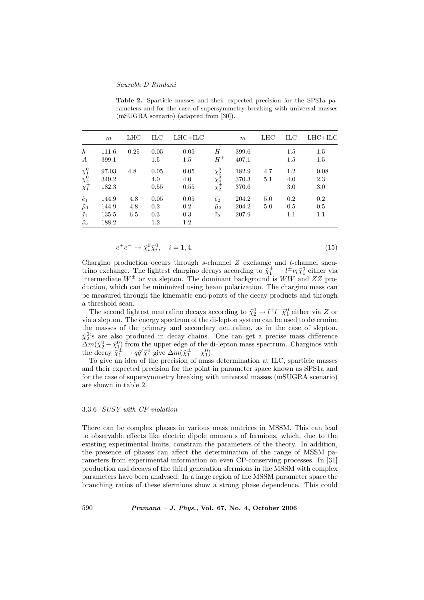Table 2. Sparticle masses and their expected precision for the SPS1a parameters and for the case of supersymmetry breaking with universal masses (mSUGRA scenario) (adapted from [30]).

|                                                                  | m     | LHC  | ILC  | $LHC+ILC$ |                                                                  | m     | LHC | ILC | $LHC+ILC$ |
|------------------------------------------------------------------|-------|------|------|-----------|------------------------------------------------------------------|-------|-----|-----|-----------|
| $\boldsymbol{h}$                                                 | 111.6 | 0.25 | 0.05 | 0.05      | H                                                                | 399.6 |     | 1.5 | 1.5       |
| $\boldsymbol{A}$                                                 | 399.1 |      | 1.5  | 1.5       | $H^+$                                                            | 407.1 |     | 1.5 | 1.5       |
|                                                                  | 97.03 | 4.8  | 0.05 | 0.05      |                                                                  | 182.9 | 4.7 | 1.2 | 0.08      |
|                                                                  | 349.2 |      | 4.0  | 4.0       |                                                                  | 370.3 | 5.1 | 4.0 | 2.3       |
| $\begin{matrix} \chi_1^0 \ \chi_3^0 \ \chi_1^{\pm} \end{matrix}$ | 182.3 |      | 0.55 | 0.55      | $\begin{matrix} \chi^0_2 \\ \chi^0_4 \\ \chi^\pm_2 \end{matrix}$ | 370.6 |     | 3.0 | 3.0       |
| $\tilde{e}_1$                                                    | 144.9 | 4.8  | 0.05 | 0.05      | $\tilde{e}_2$                                                    | 204.2 | 5.0 | 0.2 | 0.2       |
| $\tilde{\mu}_1$                                                  | 144.9 | 4.8  | 0.2  | 0.2       | $\tilde{\mu}_2$                                                  | 204.2 | 5.0 | 0.5 | 0.5       |
| $\tilde{\tau}_1$                                                 | 135.5 | 6.5  | 0.3  | 0.3       | $\tilde{\tau}_2$                                                 | 207.9 |     | 1.1 | 1.1       |
| $\tilde{\nu}_\mathrm{e}$                                         | 188.2 |      | 1.2  | $1.2\,$   |                                                                  |       |     |     |           |

$$
e^{+}e^{-} \to \tilde{\chi}_{i}^{0}\tilde{\chi}_{i}^{0}, \quad i = 1, 4. \tag{15}
$$

Chargino production occurs through  $s$ -channel  $Z$  exchange and  $t$ -channel sneutrino exchange. The lightest chargino decays according to  $\tilde{\chi}_1^{\pm} \to l^{\pm} \nu_l \tilde{\chi}_1^0$  either via intermediate  $W^{\pm}$  or via slepton. The dominant background is  $WW$  and  $ZZ$  production, which can be minimized using beam polarization. The chargino mass can be measured through the kinematic end-points of the decay products and through a threshold scan.

The second lightest neutralino decays according to  $\tilde{\chi}^0_2 \rightarrow l^+l^-\tilde{\chi}^0_1$  either via Z or via a slepton. The energy spectrum of the di-lepton system can be used to determine the masses of the primary and secondary neutralino, as in the case of slepton.  $\tilde{\chi}_2^0$ 's are also produced in decay chains. One can get a precise mass difference  $\Delta m(\tilde{\chi}_2^0 - \tilde{\chi}_1^0)$  from the upper edge of the di-lepton mass spectrum. Charginos with the decay  $\tilde{\chi}_1^{\pm} \to q\bar{q}' \tilde{\chi}_1^0$  give  $\Delta m(\tilde{\chi}_1^{\pm} - \chi_1^0)$ .

To give an idea of the precision of mass determination at ILC, sparticle masses and their expected precision for the point in parameter space known as SPS1a and for the case of supersymmetry breaking with universal masses (mSUGRA scenario) are shown in table 2.

#### 3.3.6 SUSY with CP violation

There can be complex phases in various mass matrices in MSSM. This can lead to observable effects like electric dipole moments of fermions, which, due to the existing experimental limits, constrain the parameters of the theory. In addition, the presence of phases can affect the determination of the range of MSSM parameters from experimental information on even CP-conserving processes. In [31] production and decays of the third generation sfermions in the MSSM with complex parameters have been analysed. In a large region of the MSSM parameter space the branching ratios of these sfermions show a strong phase dependence. This could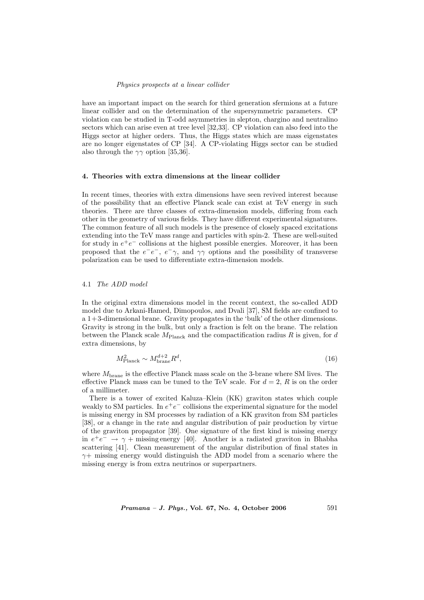#### Physics prospects at a linear collider

have an important impact on the search for third generation sfermions at a future linear collider and on the determination of the supersymmetric parameters. CP violation can be studied in T-odd asymmetries in slepton, chargino and neutralino sectors which can arise even at tree level [32,33]. CP violation can also feed into the Higgs sector at higher orders. Thus, the Higgs states which are mass eigenstates are no longer eigenstates of CP [34]. A CP-violating Higgs sector can be studied also through the  $\gamma\gamma$  option [35,36].

# 4. Theories with extra dimensions at the linear collider

In recent times, theories with extra dimensions have seen revived interest because of the possibility that an effective Planck scale can exist at TeV energy in such theories. There are three classes of extra-dimension models, differing from each other in the geometry of various fields. They have different experimental signatures. The common feature of all such models is the presence of closely spaced excitations extending into the TeV mass range and particles with spin-2. These are well-suited for study in  $e^+e^-$  collisions at the highest possible energies. Moreover, it has been proposed that the  $e^-e^-$ ,  $e^-\gamma$ , and  $\gamma\gamma$  options and the possibility of transverse polarization can be used to differentiate extra-dimension models.

# 4.1 The ADD model

In the original extra dimensions model in the recent context, the so-called ADD model due to Arkani-Hamed, Dimopoulos, and Dvali [37], SM fields are confined to a 1+3-dimensional brane. Gravity propagates in the 'bulk' of the other dimensions. Gravity is strong in the bulk, but only a fraction is felt on the brane. The relation between the Planck scale  $M_{\text{Planck}}$  and the compactification radius R is given, for d extra dimensions, by

$$
M_{\text{Planck}}^2 \sim M_{\text{brane}}^{d+2} R^d,\tag{16}
$$

where  $M<sub>brane</sub>$  is the effective Planck mass scale on the 3-brane where SM lives. The effective Planck mass can be tuned to the TeV scale. For  $d = 2$ , R is on the order of a millimeter.

There is a tower of excited Kaluza–Klein (KK) graviton states which couple weakly to SM particles. In  $e^+e^-$  collisions the experimental signature for the model is missing energy in SM processes by radiation of a KK graviton from SM particles [38], or a change in the rate and angular distribution of pair production by virtue of the graviton propagator [39]. One signature of the first kind is missing energy in  $e^+e^- \rightarrow \gamma + \text{missing energy}$  [40]. Another is a radiated graviton in Bhabha scattering [41]. Clean measurement of the angular distribution of final states in  $\gamma$ + missing energy would distinguish the ADD model from a scenario where the missing energy is from extra neutrinos or superpartners.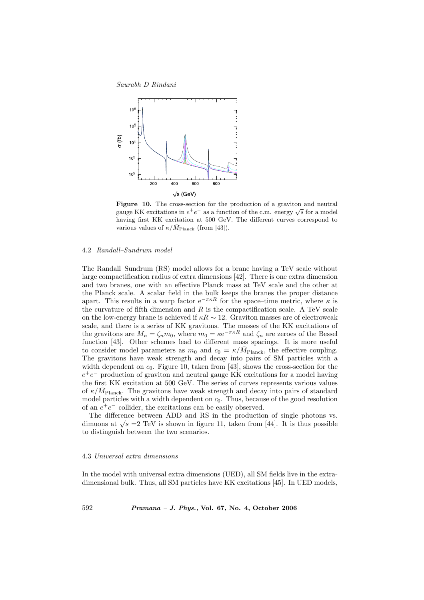Saurabh D Rindani



Figure 10. The cross-section for the production of a graviton and neutral **Figure 10.** The cross-section for the production of a graviton and neutral gauge KK excitations in  $e^+e^-$  as a function of the c.m. energy  $\sqrt{s}$  for a model having first KK excitation at 500 GeV. The different curves correspond to various values of  $\kappa/\bar{M}_{\text{Planck}}$  (from [43]).

### 4.2 Randall–Sundrum model

The Randall–Sundrum (RS) model allows for a brane having a TeV scale without large compactification radius of extra dimensions [42]. There is one extra dimension and two branes, one with an effective Planck mass at TeV scale and the other at the Planck scale. A scalar field in the bulk keeps the branes the proper distance apart. This results in a warp factor  $e^{-\pi \kappa R}$  for the space–time metric, where  $\kappa$  is the curvature of fifth dimension and  $R$  is the compactification scale. A TeV scale on the low-energy brane is achieved if  $\kappa R \sim 12$ . Graviton masses are of electroweak scale, and there is a series of KK gravitons. The masses of the KK excitations of the gravitons are  $M_n = \zeta_n m_0$ , where  $m_0 = \kappa e^{-\pi \kappa R}$  and  $\zeta_n$  are zeroes of the Bessel function [43]. Other schemes lead to different mass spacings. It is more useful to consider model parameters as  $m_0$  and  $c_0 = \kappa / \bar{M}_{\text{Planck}}$ , the effective coupling. The gravitons have weak strength and decay into pairs of SM particles with a width dependent on  $c_0$ . Figure 10, taken from [43], shows the cross-section for the  $e^+e^-$  production of graviton and neutral gauge KK excitations for a model having the first KK excitation at 500 GeV. The series of curves represents various values of  $\kappa/\bar{M}_{\text{Planck}}$ . The gravitons have weak strength and decay into pairs of standard model particles with a width dependent on  $c_0$ . Thus, because of the good resolution of an  $e^+e^-$  collider, the excitations can be easily observed.

The difference between ADD and RS in the production of single photons vs. The difference between ADD and AS in the production of single photons vs.<br>dimuons at  $\sqrt{s} = 2 \text{ TeV}$  is shown in figure 11, taken from [44]. It is thus possible to distinguish between the two scenarios.

# 4.3 Universal extra dimensions

In the model with universal extra dimensions (UED), all SM fields live in the extradimensional bulk. Thus, all SM particles have KK excitations [45]. In UED models,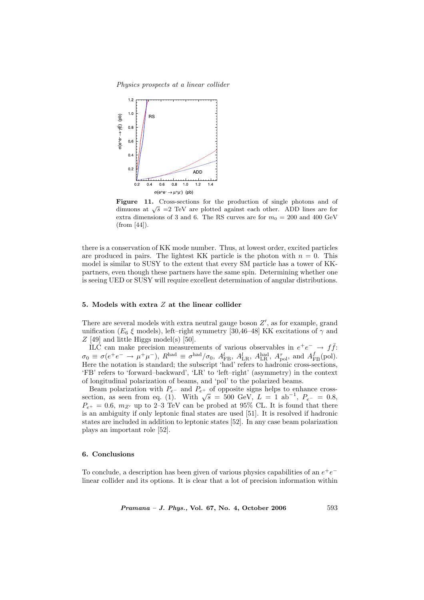Physics prospects at a linear collider



Figure 11. Cross-sections for the production of single photons and of **rigure** 11. Cross-sections for the production of single photons and of dimuons at  $\sqrt{s}$  =2 TeV are plotted against each other. ADD lines are for extra dimensions of 3 and 6. The RS curves are for  $m_0 = 200$  and 400 GeV (from [44]).

there is a conservation of KK mode number. Thus, at lowest order, excited particles are produced in pairs. The lightest KK particle is the photon with  $n = 0$ . This model is similar to SUSY to the extent that every SM particle has a tower of KKpartners, even though these partners have the same spin. Determining whether one is seeing UED or SUSY will require excellent determination of angular distributions.

### 5. Models with extra Z at the linear collider

There are several models with extra neutral gauge boson  $Z'$ , as for example, grand unification ( $E_6 \xi$  models), left–right symmetry [30,46–48] KK excitations of  $\gamma$  and  $Z$  [49] and little Higgs model(s) [50].

ILC can make precision measurements of various observables in  $e^+e^- \rightarrow f\bar{f}$ :  $\sigma_0 \equiv \sigma(e^+e^- \to \mu^+\mu^-)$ ,  $R^{\text{had}} \equiv \sigma^{\text{had}}/\sigma_0$ ,  $A_{\text{FB}}^l$ ,  $A_{\text{LR}}^l$ ,  $A_{\text{LR}}^{\text{had}}$ ,  $A_{\text{pol}}^{\tau}$ , and  $A_{\text{FB}}^f(\text{pol})$ . Here the notation is standard; the subscript 'had' refers to hadronic cross-sections, 'FB' refers to 'forward–backward', 'LR' to 'left–right' (asymmetry) in the context of longitudinal polarization of beams, and 'pol' to the polarized beams.

Beam polarization with  $P_{e-}$  and  $P_{e+}$  of opposite signs helps to enhance crossbeam polarization with  $P_e$ - and  $P_e$ + of opposite signs neips to enhance cross-<br>section, as seen from eq. (1). With  $\sqrt{s} = 500$  GeV,  $L = 1$  ab<sup>-1</sup>,  $P_e$ - = 0.8,  $P_{e+} = 0.6$ ,  $m_{Z'}$  up to 2–3 TeV can be probed at 95% CL. It is found that there is an ambiguity if only leptonic final states are used [51]. It is resolved if hadronic states are included in addition to leptonic states [52]. In any case beam polarization plays an important role [52].

### 6. Conclusions

To conclude, a description has been given of various physics capabilities of an  $e^+e^$ linear collider and its options. It is clear that a lot of precision information within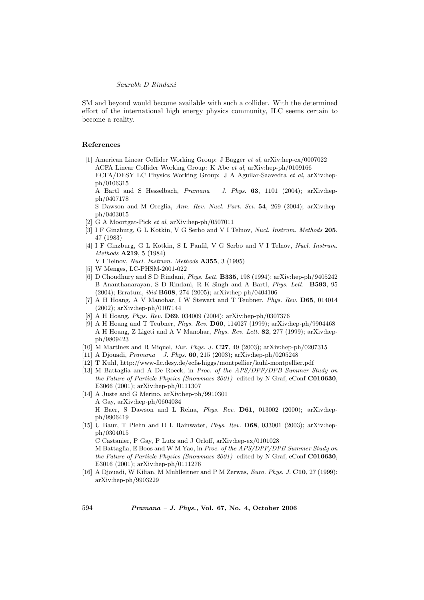SM and beyond would become available with such a collider. With the determined effort of the international high energy physics community, ILC seems certain to become a reality.

# References

[1] American Linear Collider Working Group: J Bagger et al, arXiv:hep-ex/0007022 ACFA Linear Collider Working Group: K Abe et al, arXiv:hep-ph/0109166

ECFA/DESY LC Physics Working Group: J A Aguilar-Saavedra et al, arXiv:hepph/0106315

A Bartl and S Hesselbach, Pramana – J. Phys. 63, 1101 (2004); arXiv:hepph/0407178

S Dawson and M Oreglia, Ann. Rev. Nucl. Part. Sci. 54, 269 (2004); arXiv:hepph/0403015

- [2] G A Moortgat-Pick et al, arXiv:hep-ph/0507011
- [3] I F Ginzburg, G L Kotkin, V G Serbo and V I Telnov, Nucl. Instrum. Methods 205, 47 (1983)
- [4] I F Ginzburg, G L Kotkin, S L Panfil, V G Serbo and V I Telnov, Nucl. Instrum. Methods A219, 5 (1984)
	- V I Telnov, Nucl. Instrum. Methods A355, 3 (1995)
- [5] W Menges, LC-PHSM-2001-022
- [6] D Choudhury and S D Rindani, Phys. Lett. B335, 198 (1994); arXiv:hep-ph/9405242 B Ananthanarayan, S D Rindani, R K Singh and A Bartl, Phys. Lett. B593, 95 (2004); Erratum, ibid B608, 274 (2005); arXiv:hep-ph/0404106
- [7] A H Hoang, A V Manohar, I W Stewart and T Teubner, Phys. Rev. D65, 014014 (2002); arXiv:hep-ph/0107144
- [8] A H Hoang, Phys. Rev. D69, 034009 (2004); arXiv:hep-ph/0307376
- [9] A H Hoang and T Teubner, Phys. Rev. D60, 114027 (1999); arXiv:hep-ph/9904468 A H Hoang, Z Ligeti and A V Manohar, Phys. Rev. Lett. 82, 277 (1999); arXiv:hepph/9809423
- [10] M Martinez and R Miquel, Eur. Phys. J. C27, 49 (2003); arXiv:hep-ph/0207315
- [11] A Djouadi, Pramana J. Phys. 60, 215 (2003); arXiv:hep-ph/0205248
- [12] T Kuhl, http://www-flc.desy.de/ecfa-higgs/montpellier/kuhl-montpellier.pdf
- [13] M Battaglia and A De Roeck, in Proc. of the APS/DPF/DPB Summer Study on the Future of Particle Physics (Snowmass 2001) edited by N Graf, eConf C010630, E3066 (2001); arXiv:hep-ph/0111307
- [14] A Juste and G Merino, arXiv:hep-ph/9910301 A Gay, arXiv:hep-ph/0604034 H Baer, S Dawson and L Reina, Phys. Rev. D61, 013002 (2000); arXiv:hepph/9906419
- [15] U Baur, T Plehn and D L Rainwater, Phys. Rev. D68, 033001 (2003); arXiv:hepph/0304015 C Castanier, P Gay, P Lutz and J Orloff, arXiv:hep-ex/0101028

M Battaglia, E Boos and W M Yao, in Proc. of the APS/DPF/DPB Summer Study on the Future of Particle Physics (Snowmass 2001) edited by N Graf, eConf C010630, E3016 (2001); arXiv:hep-ph/0111276

[16] A Djouadi, W Kilian, M Muhlleitner and P M Zerwas, Euro. Phys. J. C10, 27 (1999); arXiv:hep-ph/9903229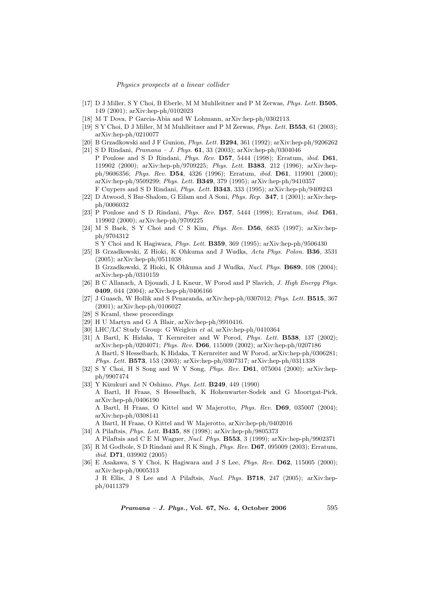#### Physics prospects at a linear collider

- [17] D J Miller, S Y Choi, B Eberle, M M Muhlleitner and P M Zerwas, Phys. Lett. B505, 149 (2001); arXiv:hep-ph/0102023
- [18] M T Dova, P Garcia-Abia and W Lohmann, arXiv:hep-ph/0302113.
- [19] S Y Choi, D J Miller, M M Muhlleitner and P M Zerwas, Phys. Lett. B553, 61 (2003); arXiv:hep-ph/0210077
- [20] B Grzadkowski and J F Gunion, Phys. Lett. B294, 361 (1992); arXiv:hep-ph/9206262
- [21] S D Rindani, Pramana J. Phys. 61, 33 (2003); arXiv:hep-ph/0304046 P Poulose and S D Rindani, Phys. Rev. D57, 5444 (1998); Erratum, ibid. D61, 119902 (2000); arXiv:hep-ph/9709225; Phys. Lett. B383, 212 (1996); arXiv:hepph/9606356; Phys. Rev. D54, 4326 (1996); Erratum, ibid. D61, 119901 (2000); arXiv:hep-ph/9509299; Phys. Lett. B349, 379 (1995); arXiv:hep-ph/9410357 F Cuypers and S D Rindani, Phys. Lett. B343, 333 (1995); arXiv:hep-ph/9409243
- [22] D Atwood, S Bar-Shalom, G Eilam and A Soni, Phys. Rep. 347, 1 (2001); arXiv:hepph/0006032
- [23] P Poulose and S D Rindani, Phys. Rev. D57, 5444 (1998); Erratum, ibid. D61, 119902 (2000); arXiv:hep-ph/9709225
- [24] M S Baek, S Y Choi and C S Kim, Phys. Rev. D56, 6835 (1997); arXiv:hepph/9704312

S Y Choi and K Hagiwara, Phys. Lett. B359, 369 (1995); arXiv:hep-ph/9506430

- [25] B Grzadkowski, Z Hioki, K Ohkuma and J Wudka, Acta Phys. Polon. B36, 3531 (2005); arXiv:hep-ph/0511038 B Grzadkowski, Z Hioki, K Ohkuma and J Wudka, Nucl. Phys. B689, 108 (2004); arXiv:hep-ph/0310159
- [26] B C Allanach, A Djouadi, J L Kneur, W Porod and P Slavich, J. High Energy Phys. 0409, 044 (2004); arXiv:hep-ph/0406166
- [27] J Guasch, W Hollik and S Penaranda, arXiv:hep-ph/0307012; Phys. Lett. B515, 367 (2001); arXiv:hep-ph/0106027
- [28] S Kraml, these proceedings
- [29] H U Martyn and G A Blair, arXiv:hep-ph/9910416.
- [30] LHC/LC Study Group: G Weiglein et al, arXiv:hep-ph/0410364
- [31] A Bartl, K Hidaka, T Kernreiter and W Porod, Phys. Lett. B538, 137 (2002); arXiv:hep-ph/0204071; Phys. Rev. D66, 115009 (2002); arXiv:hep-ph/0207186 A Bartl, S Hesselbach, K Hidaka, T Kernreiter and W Porod, arXiv:hep-ph/0306281; Phys. Lett. B573, 153 (2003); arXiv:hep-ph/0307317; arXiv:hep-ph/0311338
- [32] S Y Choi, H S Song and W Y Song, Phys. Rev. D61, 075004 (2000); arXiv:hepph/9907474
- [33] Y Kizukuri and N Oshimo, Phys. Lett. B249, 449 (1990) A Bartl, H Fraas, S Hesselbach, K Hohenwarter-Sodek and G Moortgat-Pick, arXiv:hep-ph/0406190 A Bartl, H Fraas, O Kittel and W Majerotto, Phys. Rev. D69, 035007 (2004); arXiv:hep-ph/0308141 A Bartl, H Fraas, O Kittel and W Majerotto, arXiv:hep-ph/0402016
- [34] A Pilaftsis, Phys. Lett. B435, 88 (1998); arXiv:hep-ph/9805373
- A Pilaftsis and C E M Wagner, Nucl. Phys. B553, 3 (1999); arXiv:hep-ph/9902371
- [35] R M Godbole, S D Rindani and R K Singh, Phys. Rev. D67, 095009 (2003); Erratum, ibid. D71, 039902 (2005)
- [36] E Asakawa, S Y Choi, K Hagiwara and J S Lee, Phys. Rev. D62, 115005 (2000); arXiv:hep-ph/0005313 J R Ellis, J S Lee and A Pilaftsis, Nucl. Phys. B718, 247 (2005); arXiv:hepph/0411379